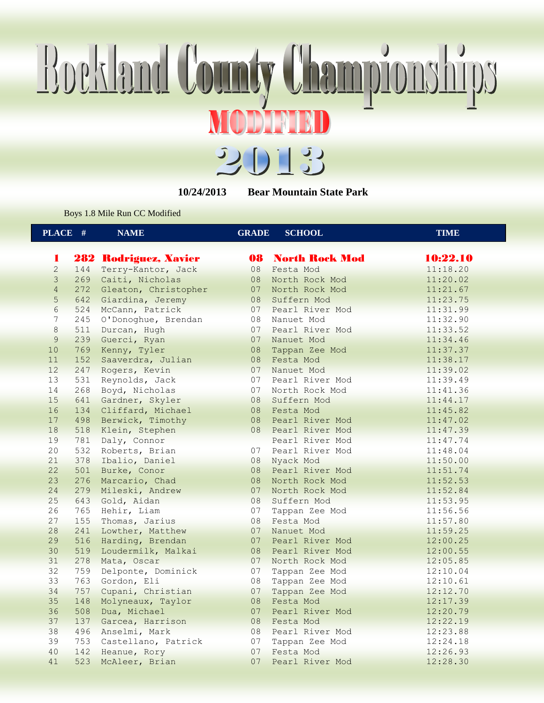## Boekland County Championships MODENIND



**10/24/2013 Bear Mountain State Park**

Boys 1.8 Mile Run CC Modified

| $\overline{\textbf{PLACE}}$ #<br><b>NAME</b><br><b>GRADE</b><br><b>SCHOOL</b><br><b>TIME</b> |  |
|----------------------------------------------------------------------------------------------|--|
| 10:22.10<br>282 Rodriguez, Xavier<br><b>08 North Rock Mod</b><br>1                           |  |
| $\overline{c}$<br>11:18.20<br>144<br>Terry-Kantor, Jack<br>08<br>Festa Mod                   |  |
| 3<br>08<br>269<br>Caiti, Nicholas<br>11:20.02<br>North Rock Mod                              |  |
| $\overline{4}$<br>272<br>Gleaton, Christopher<br>07<br>North Rock Mod<br>11:21.67            |  |
| 5<br>642 Giardina, Jeremy<br>08<br>Suffern Mod<br>11:23.75                                   |  |
| $6\phantom{.}6$<br>07<br>524<br>McCann, Patrick<br>Pearl River Mod<br>11:31.99               |  |
| $\overline{7}$<br>245<br>O'Donoghue, Brendan<br>08<br>Nanuet Mod<br>11:32.90                 |  |
| $\,8\,$<br>07<br>Pearl River Mod<br>511<br>Durcan, Hugh<br>11:33.52                          |  |
| 9<br>239<br>Guerci, Ryan<br>07<br>Nanuet Mod<br>11:34.46                                     |  |
| 10<br>769<br>08<br>Kenny, Tyler<br>Tappan Zee Mod<br>11:37.37                                |  |
| 11<br>152<br>Festa Mod<br>Saaverdra, Julian<br>08<br>11:38.17                                |  |
| 12<br>247<br>07<br>Rogers, Kevin<br>11:39.02<br>Nanuet Mod                                   |  |
| 13<br>07<br>531<br>Reynolds, Jack<br>Pearl River Mod<br>11:39.49                             |  |
| 14<br>268<br>Boyd, Nicholas<br>07<br>North Rock Mod                                          |  |
| 11:41.36<br>15<br>08                                                                         |  |
| 641<br>Gardner, Skyler<br>Suffern Mod<br>11:44.17                                            |  |
| 16<br>Cliffard, Michael<br>134<br>08<br>Festa Mod<br>11:45.82                                |  |
| 17<br>498<br>Berwick, Timothy<br>08<br>Pearl River Mod<br>11:47.02                           |  |
| 18<br>08 Pearl River Mod<br>518<br>Klein, Stephen<br>11:47.39                                |  |
| 19<br>781<br>Daly, Connor<br>Pearl River Mod<br>11:47.74                                     |  |
| 20<br>532<br>Roberts, Brian<br>07<br>Pearl River Mod<br>11:48.04                             |  |
| 21<br>378<br>Ibalio, Daniel<br>08<br>Nyack Mod<br>11:50.00                                   |  |
| 22<br>501<br>Burke, Conor<br>08<br>Pearl River Mod<br>11:51.74                               |  |
| 23<br>276<br>Marcario, Chad<br>08<br>North Rock Mod<br>11:52.53                              |  |
| 24<br>279<br>Mileski, Andrew<br>$07 -$<br>11:52.84<br>North Rock Mod                         |  |
| 25<br>Gold, Aidan<br>08<br>643<br>Suffern Mod<br>11:53.95                                    |  |
| 26<br>07<br>765<br>Hehir, Liam<br>11:56.56<br>Tappan Zee Mod                                 |  |
| 27<br>155<br>08<br>Thomas, Jarius<br>Festa Mod<br>11:57.80                                   |  |
| 28<br>07<br>241<br>Lowther, Matthew<br>11:59.25<br>Nanuet Mod                                |  |
| 29<br>516<br>07<br>Harding, Brendan<br>Pearl River Mod<br>12:00.25                           |  |
| 30<br>519<br>Loudermilk, Malkai<br>08<br>Pearl River Mod<br>12:00.55                         |  |
| 31<br>278<br>Mata, Oscar<br>07<br>North Rock Mod<br>12:05.85                                 |  |
| 32<br>759<br>Delponte, Dominick<br>07<br>12:10.04<br>Tappan Zee Mod                          |  |
| 33<br>763<br>08<br>Gordon, Eli<br>Tappan Zee Mod<br>12:10.61                                 |  |
| 34<br>Cupani, Christian<br>757<br>07<br>Tappan Zee Mod<br>12:12.70                           |  |
| 35<br>Molyneaux, Taylor<br>08<br>148<br>Festa Mod<br>12:17.39                                |  |
| 36<br>508<br>07<br>Dua, Michael<br>Pearl River Mod<br>12:20.79                               |  |
| 37<br>137 Garcea, Harrison<br>08<br>Festa Mod<br>12:22.19                                    |  |
| 38<br>496 Anselmi, Mark<br>08<br>Pearl River Mod<br>12:23.88                                 |  |
| 39<br>753<br>07<br>Castellano, Patrick<br>12:24.18<br>Tappan Zee Mod                         |  |
| 40<br>142<br>07<br>Festa Mod<br>Heanue, Rory<br>12:26.93                                     |  |
| 41<br>523<br>07<br>McAleer, Brian<br>12:28.30<br>Pearl River Mod                             |  |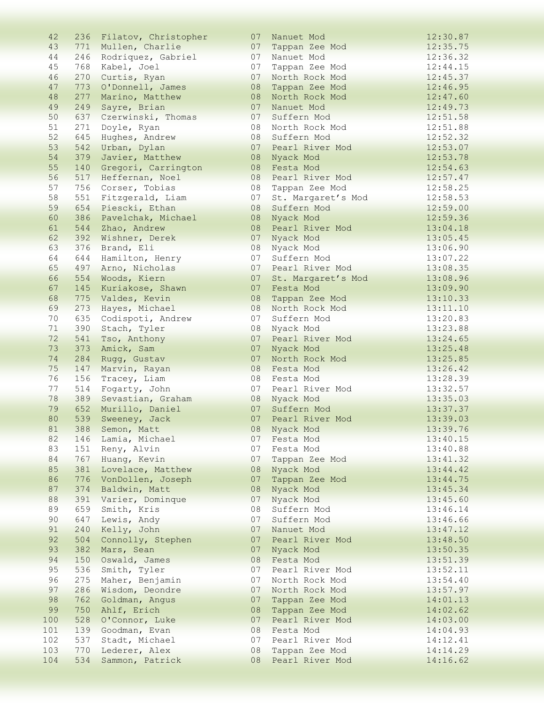| 42  |     | 236 Filatov, Christopher | 07 | Nanuet Mod         | 12:30.87 |
|-----|-----|--------------------------|----|--------------------|----------|
| 43  |     | 771 Mullen, Charlie      | 07 | Tappan Zee Mod     | 12:35.75 |
| 44  |     | 246 Rodriquez, Gabriel   | 07 | Nanuet Mod         | 12:36.32 |
| 45  | 768 | Kabel, Joel              | 07 | Tappan Zee Mod     | 12:44.15 |
| 46  | 270 | Curtis, Ryan             | 07 | North Rock Mod     | 12:45.37 |
| 47  | 773 | O'Donnell, James         | 08 | Tappan Zee Mod     | 12:46.95 |
| 48  | 277 | Marino, Matthew          | 08 | North Rock Mod     | 12:47.60 |
| 49  | 249 | Sayre, Brian             | 07 | Nanuet Mod         | 12:49.73 |
| 50  | 637 | Czerwinski, Thomas       | 07 | Suffern Mod        | 12:51.58 |
| 51  | 271 | Doyle, Ryan              | 08 | North Rock Mod     | 12:51.88 |
| 52  | 645 | Hughes, Andrew           | 08 | Suffern Mod        | 12:52.32 |
| 53  | 542 | Urban, Dylan             | 07 | Pearl River Mod    | 12:53.07 |
| 54  | 379 | Javier, Matthew          | 08 | Nyack Mod          | 12:53.78 |
| 55  | 140 | Gregori, Carrington      | 08 | Festa Mod          | 12:54.63 |
| 56  | 517 | Heffernan, Noel          | 08 | Pearl River Mod    | 12:57.47 |
| 57  | 756 | Corser, Tobias           | 08 | Tappan Zee Mod     | 12:58.25 |
| 58  | 551 | Fitzgerald, Liam         | 07 | St. Margaret's Mod | 12:58.53 |
| 59  | 654 | Piescki, Ethan           | 08 | Suffern Mod        | 12:59.00 |
| 60  | 386 | Pavelchak, Michael       | 08 | Nyack Mod          | 12:59.36 |
| 61  | 544 | Zhao, Andrew             | 08 | Pearl River Mod    | 13:04.18 |
| 62  | 392 | Wishner, Derek           | 07 | Nyack Mod          | 13:05.45 |
| 63  | 376 | Brand, Eli               | 08 | Nyack Mod          | 13:06.90 |
| 64  | 644 | Hamilton, Henry          | 07 | Suffern Mod        | 13:07.22 |
| 65  | 497 | Arno, Nicholas           | 07 | Pearl River Mod    | 13:08.35 |
| 66  | 554 | Woods, Kiern             | 07 | St. Margaret's Mod | 13:08.96 |
| 67  | 145 | Kuriakose, Shawn         | 07 | Festa Mod          | 13:09.90 |
| 68  | 775 | Valdes, Kevin            | 08 | Tappan Zee Mod     | 13:10.33 |
| 69  | 273 | Hayes, Michael           | 08 | North Rock Mod     | 13:11.10 |
| 70  | 635 | Codispoti, Andrew        | 07 | Suffern Mod        | 13:20.83 |
| 71  | 390 | Stach, Tyler             | 08 | Nyack Mod          | 13:23.88 |
| 72  | 541 | Tso, Anthony             | 07 | Pearl River Mod    | 13:24.65 |
| 73  | 373 | Amick, Sam               | 07 | Nyack Mod          | 13:25.48 |
| 74  | 284 | Rugg, Gustav             | 07 | North Rock Mod     | 13:25.85 |
| 75  | 147 | Marvin, Rayan            | 08 | Festa Mod          | 13:26.42 |
| 76  | 156 | Tracey, Liam             | 08 | Festa Mod          | 13:28.39 |
| 77  | 514 | Fogarty, John            | 07 | Pearl River Mod    | 13:32.57 |
| 78  | 389 | Sevastian, Graham        | 08 | Nyack Mod          | 13:35.03 |
| 79  | 652 | Murillo, Daniel          | 07 | Suffern Mod        | 13:37.37 |
| 80  | 539 | Sweeney, Jack            | 07 | Pearl River Mod    | 13:39.03 |
| 81  |     | 388 Semon, Matt          |    | 08 Nyack Mod       | 13:39.76 |
| 82  |     | 146 Lamia, Michael       | 07 | Festa Mod          | 13:40.15 |
| 83  | 151 | Reny, Alvin              | 07 | Festa Mod          | 13:40.88 |
| 84  | 767 | Huang, Kevin             | 07 | Tappan Zee Mod     | 13:41.32 |
| 85  | 381 | Lovelace, Matthew        | 08 | Nyack Mod          | 13:44.42 |
| 86  | 776 | VonDollen, Joseph        | 07 | Tappan Zee Mod     | 13:44.75 |
| 87  | 374 | Baldwin, Matt            | 08 | Nyack Mod          | 13:45.34 |
| 88  | 391 | Varier, Dominque         | 07 | Nyack Mod          | 13:45.60 |
| 89  | 659 | Smith, Kris              | 08 | Suffern Mod        | 13:46.14 |
| 90  | 647 | Lewis, Andy              | 07 | Suffern Mod        | 13:46.66 |
| 91  | 240 | Kelly, John              | 07 | Nanuet Mod         | 13:47.12 |
| 92  | 504 | Connolly, Stephen        | 07 | Pearl River Mod    | 13:48.50 |
| 93  | 382 | Mars, Sean               | 07 | Nyack Mod          | 13:50.35 |
| 94  | 150 | Oswald, James            | 08 | Festa Mod          | 13:51.39 |
| 95  | 536 | Smith, Tyler             | 07 | Pearl River Mod    | 13:52.11 |
| 96  | 275 | Maher, Benjamin          | 07 | North Rock Mod     | 13:54.40 |
| 97  | 286 | Wisdom, Deondre          | 07 | North Rock Mod     | 13:57.97 |
| 98  | 762 | Goldman, Angus           | 07 | Tappan Zee Mod     | 14:01.13 |
| 99  | 750 | Ahlf, Erich              | 08 | Tappan Zee Mod     | 14:02.62 |
| 100 | 528 | O'Connor, Luke           | 07 | Pearl River Mod    | 14:03.00 |
| 101 | 139 | Goodman, Evan            | 08 | Festa Mod          | 14:04.93 |
| 102 | 537 | Stadt, Michael           | 07 | Pearl River Mod    | 14:12.41 |
| 103 | 770 | Lederer, Alex            | 08 | Tappan Zee Mod     | 14:14.29 |
| 104 | 534 | Sammon, Patrick          | 08 | Pearl River Mod    | 14:16.62 |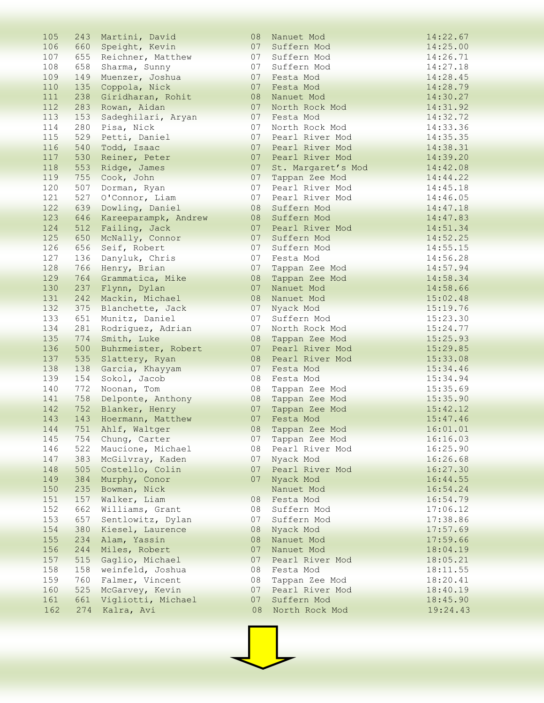| 105        | 243        | Martini, David       | 08       | Nanuet Mod                   | 14:22.67             |
|------------|------------|----------------------|----------|------------------------------|----------------------|
| 106        | 660        | Speight, Kevin       | 07       | Suffern Mod                  | 14:25.00             |
| 107        | 655        | Reichner, Matthew    | 07       | Suffern Mod                  | 14:26.71             |
| 108        | 658        | Sharma, Sunny        | 07       | Suffern Mod                  | 14:27.18             |
| 109        | 149        | Muenzer, Joshua      | 07       | Festa Mod                    | 14:28.45             |
| 110        | 135        | Coppola, Nick        | 07       | Festa Mod                    | 14:28.79             |
| 111        | 238        | Giridharan, Rohit    | 08       | Nanuet Mod                   | 14:30.27             |
| 112        | 283        | Rowan, Aidan         | 07       | North Rock Mod               | 14:31.92             |
| 113        | 153        | Sadeghilari, Aryan   | 07       | Festa Mod                    | 14:32.72             |
| 114        | 280        | Pisa, Nick           | 07       | North Rock Mod               | 14:33.36             |
| 115        | 529        | Petti, Daniel        | 07       | Pearl River Mod              | 14:35.35             |
| 116        | 540        | Todd, Isaac          | 07       | Pearl River Mod              | 14:38.31             |
| 117        | 530        | Reiner, Peter        | 07       | Pearl River Mod              | 14:39.20             |
| 118        | 553        | Ridge, James         | 07       | St. Margaret's Mod           | 14:42.08             |
| 119        | 755        | Cook, John           | 07       | Tappan Zee Mod               | 14:44.22             |
| 120        | 507        | Dorman, Ryan         | 07       | Pearl River Mod              | 14:45.18             |
| 121        | 527        | O'Connor, Liam       | 07       | Pearl River Mod              | 14:46.05             |
| 122        | 639        | Dowling, Daniel      | 08       | Suffern Mod                  | 14:47.18             |
| 123        | 646        | Kareeparampk, Andrew | 08       | Suffern Mod                  | 14:47.83             |
| 124        | 512        | Failing, Jack        | 07       | Pearl River Mod              | 14:51.34             |
| 125        | 650        | McNally, Connor      | 07       | Suffern Mod                  | 14:52.25             |
| 126        | 656        | Seif, Robert         | 07       | Suffern Mod                  | 14:55.15             |
| 127        | 136        | Danyluk, Chris       | 07       | Festa Mod                    | 14:56.28             |
| 128        | 766        | Henry, Brian         | 07       | Tappan Zee Mod               | 14:57.94             |
| 129        | 764        | Grammatica, Mike     | 08       | Tappan Zee Mod               | 14:58.34             |
| 130        | 237        | Flynn, Dylan         | 07       | Nanuet Mod                   | 14:58.66             |
| 131        | 242        | Mackin, Michael      | 08       | Nanuet Mod                   | 15:02.48             |
| 132        | 375        | Blanchette, Jack     | 07       | Nyack Mod                    | 15:19.76             |
| 133        | 651        | Munitz, Daniel       | 07       | Suffern Mod                  | 15:23.30             |
| 134        | 281        | Rodriguez, Adrian    | 07       | North Rock Mod               | 15:24.77             |
| 135        | 774        | Smith, Luke          | 08       | Tappan Zee Mod               | 15:25.93             |
| 136        | 500        | Buhrmeister, Robert  | 07       | Pearl River Mod              | 15:29.85             |
| 137        | 535        | Slattery, Ryan       | 08       | Pearl River Mod              | 15:33.08             |
| 138        | 138        | Garcia, Khayyam      | 07       | Festa Mod                    | 15:34.46             |
| 139        | 154        | Sokol, Jacob         | 08       | Festa Mod                    | 15:34.94             |
| 140        | 772        | Noonan, Tom          | 08       | Tappan Zee Mod               | 15:35.69             |
| 141        | 758        | Delponte, Anthony    | 08       | Tappan Zee Mod               | 15:35.90             |
| 142        | 752        | Blanker, Henry       | 07       | Tappan Zee Mod               | 15:42.12             |
| 143        | 143        | Hoermann, Matthew    | 07       | Festa Mod                    | 15:47.46             |
| 144        |            | 751 Ahlf, Waltger    | 08       | Tappan Zee Mod               | 16:01.01             |
| 145        |            | 754 Chung, Carter    | 07       | Tappan Zee Mod               | 16:16.03             |
| 146        | 522        | Maucione, Michael    | 08       | Pearl River Mod              | 16:25.90             |
| 147        | 383        | McGilvray, Kaden     | 07       |                              | 16:26.68             |
| 148        | 505        | Costello, Colin      | 07       | Nyack Mod<br>Pearl River Mod | 16:27.30             |
| 149        | 384        |                      | 07       |                              |                      |
| 150        | 235        | Murphy, Conor        |          | Nyack Mod                    | 16:44.55<br>16:54.24 |
| 151        |            | Bowman, Nick         | 08       | Nanuet Mod                   | 16:54.79             |
|            | 157        | Walker, Liam         |          | Festa Mod                    |                      |
| 152        | 662        | Williams, Grant      | 08       | Suffern Mod                  | 17:06.12             |
| 153        | 657        | Sentlowitz, Dylan    | 07       | Suffern Mod                  | 17:38.86             |
| 154        | 380        | Kiesel, Laurence     | 08       | Nyack Mod                    | 17:57.69             |
| 155<br>156 | 234<br>244 | Alam, Yassin         | 08<br>07 | Nanuet Mod                   | 17:59.66             |
|            |            | Miles, Robert        |          | Nanuet Mod                   | 18:04.19             |
| 157        | 515        | Gaglio, Michael      | 07       | Pearl River Mod              | 18:05.21             |
| 158        | 158        | weinfeld, Joshua     | 08       | Festa Mod                    | 18:11.55             |
| 159        | 760        | Falmer, Vincent      | 08       | Tappan Zee Mod               | 18:20.41             |
| 160        | 525        | McGarvey, Kevin      | 07       | Pearl River Mod              | 18:40.19             |
| 161        | 661        | Vigliotti, Michael   | 07       | Suffern Mod                  | 18:45.90             |
| 162        | 274        | Kalra, Avi           | 08       | North Rock Mod               | 19:24.43             |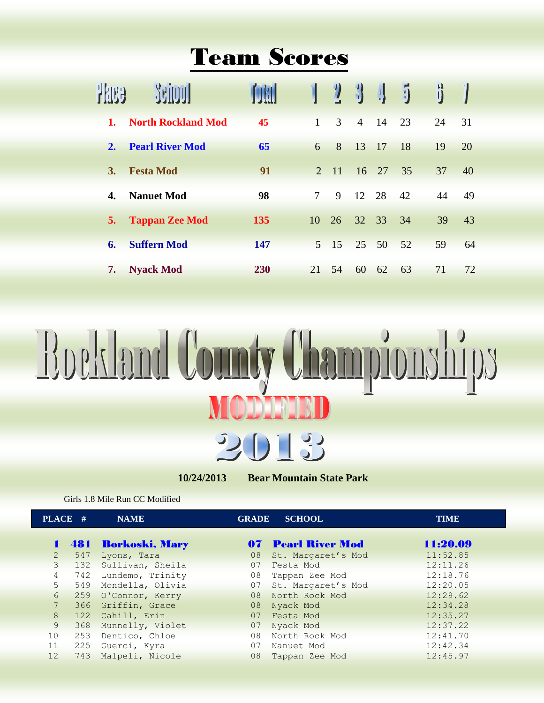## Team Scores

|    |                           |     |                 | $\eta$        | $\bf{1}$       | 4               | 4  |    |     |
|----|---------------------------|-----|-----------------|---------------|----------------|-----------------|----|----|-----|
| 1. | <b>North Rockland Mod</b> | 45  | $\mathbf{1}$    | $\mathcal{F}$ | $\overline{4}$ | $\overline{14}$ | 23 | 24 | 31  |
| 2. | <b>Pearl River Mod</b>    | 65  | 6               | 8             | 13             | 17              | 18 | 19 | 20  |
| 3. | <b>Festa Mod</b>          | 91  | 2               | $-11$         |                | $16 \quad 27$   | 35 | 37 | 40  |
| 4. | <b>Nanuet Mod</b>         | 98  | 7               | 9             | 12             | 28              | 42 | 44 | -49 |
| 5. | <b>Tappan Zee Mod</b>     | 135 | 10 <sup>1</sup> | 26            | 32 33          |                 | 34 | 39 | 43  |
| 6. | <b>Suffern Mod</b>        | 147 |                 | $5 \t15$      | 25 50          |                 | 52 | 59 | 64  |
| 7. | <b>Nyack Mod</b>          | 230 | 21              | 54            | 60             | 62              | 63 | 71 | 72  |



**10/24/2013 Bear Mountain State Park**

Girls 1.8 Mile Run CC Modified

| PLACE #         |     | <b>NAME</b>          | <b>GRADE</b> | <b>SCHOOL</b>             | <b>TIME</b> |
|-----------------|-----|----------------------|--------------|---------------------------|-------------|
|                 |     | 1 481 Borkoski, Mary |              | <b>07 Pearl River Mod</b> | 11:20.09    |
| $\overline{2}$  | 547 | Lyons, Tara          | 08           | St. Margaret's Mod        | 11:52.85    |
| $\mathcal{E}$   | 132 | Sullivan, Sheila     | 07           | Festa Mod                 | 12:11.26    |
| $\overline{4}$  | 742 | Lundemo, Trinity     | 08           | Tappan Zee Mod            | 12:18.76    |
| 5               | 549 | Mondella, Olivia     | 07           | St. Margaret's Mod        | 12:20.05    |
| 6               | 259 | O'Connor, Kerry      | 08           | North Rock Mod            | 12:29.62    |
| $7\phantom{.0}$ | 366 | Griffin, Grace       | 08           | Nyack Mod                 | 12:34.28    |
| 8               |     | 122 Cahill, Erin     | 07           | Festa Mod                 | 12:35.27    |
| 9               | 368 | Munnelly, Violet     | 07           | Nyack Mod                 | 12:37.22    |
| 10              | 253 | Dentico, Chloe       | 08           | North Rock Mod            | 12:41.70    |
| 11              | 225 | Guerci, Kyra         | 07           | Nanuet Mod                | 12:42.34    |
| 12              | 743 | Malpeli, Nicole      | 08           | Tappan Zee Mod            | 12:45.97    |
|                 |     |                      |              |                           |             |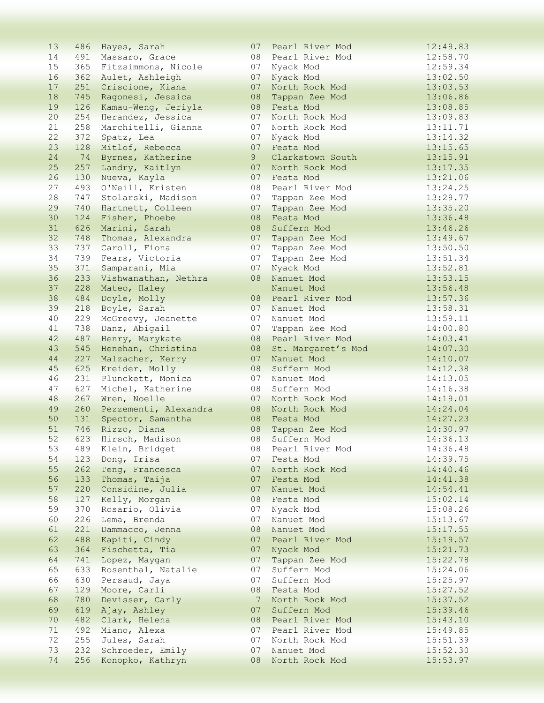| 13              |     | 486 Hayes, Sarah          | 07              | Pearl River Mod    | 12:49.83 |
|-----------------|-----|---------------------------|-----------------|--------------------|----------|
| 14              |     | 491 Massaro, Grace        | 08              | Pearl River Mod    | 12:58.70 |
| 15              |     | 365 Fitzsimmons, Nicole   | 07              | Nyack Mod          | 12:59.34 |
| 16              | 362 | Aulet, Ashleigh           | 07              | Nyack Mod          | 13:02.50 |
| 17              | 251 | Criscione, Kiana          | 07              | North Rock Mod     | 13:03.53 |
| 18              | 745 | Ragonesi, Jessica         | 08              | Tappan Zee Mod     | 13:06.86 |
| 19              | 126 | Kamau-Weng, Jeriyla       | 08              | Festa Mod          | 13:08.85 |
| 20              | 254 | Herandez, Jessica         | 07              | North Rock Mod     | 13:09.83 |
| 21              | 258 | Marchitelli, Gianna       | 07              | North Rock Mod     | 13:11.71 |
| 22              | 372 | Spatz, Lea                | 07              | Nyack Mod          | 13:14.32 |
| 23              | 128 | Mitlof, Rebecca           | 07              | Festa Mod          | 13:15.65 |
| 24              | 74  | Byrnes, Katherine         | 9               | Clarkstown South   | 13:15.91 |
| 25              | 257 | Landry, Kaitlyn           | 07              | North Rock Mod     | 13:17.35 |
| 26              | 130 | Nueva, Kayla              | 07              | Festa Mod          | 13:21.06 |
| 27              | 493 | O'Neill, Kristen          | 08              | Pearl River Mod    | 13:24.25 |
| 28              | 747 | Stolarski, Madison        | 07              | Tappan Zee Mod     | 13:29.77 |
| 29              | 740 | Hartnett, Colleen         | 07              | Tappan Zee Mod     | 13:35.20 |
| 30              | 124 | Fisher, Phoebe            | 08              | Festa Mod          | 13:36.48 |
| 31              |     | 626 Marini, Sarah         | 08              | Suffern Mod        | 13:46.26 |
| 32 <sup>2</sup> | 748 | Thomas, Alexandra         | 07              | Tappan Zee Mod     | 13:49.67 |
| 33              | 737 | Caroll, Fiona             | 07              | Tappan Zee Mod     | 13:50.50 |
| 34              | 739 | Fears, Victoria           | 07              |                    |          |
| 35              |     |                           | 07              | Tappan Zee Mod     | 13:51.34 |
|                 | 371 | Samparani, Mia            |                 | Nyack Mod          | 13:52.81 |
| 36              | 233 | Vishwanathan, Nethra      | 08              | Nanuet Mod         | 13:53.15 |
| 37              | 228 | Mateo, Haley              |                 | Nanuet Mod         | 13:56.48 |
| 38              | 484 | Doyle, Molly              | 08              | Pearl River Mod    | 13:57.36 |
| 39              | 218 | Boyle, Sarah              | 07              | Nanuet Mod         | 13:58.31 |
| 40              | 229 | McGreevy, Jeanette        | 07              | Nanuet Mod         | 13:59.11 |
| 41              | 738 | Danz, Abigail             | 07              | Tappan Zee Mod     | 14:00.80 |
| 42              | 487 | Henry, Marykate           | 08              | Pearl River Mod    | 14:03.41 |
| 43              | 545 | Henehan, Christina        | 08              | St. Margaret's Mod | 14:07.30 |
| 44              | 227 | Malzacher, Kerry          | 07              | Nanuet Mod         | 14:10.07 |
| 45              | 625 | Kreider, Molly            | 08              | Suffern Mod        | 14:12.38 |
| 46              | 231 | Plunckett, Monica         | 07              | Nanuet Mod         | 14:13.05 |
| 47              | 627 | Michel, Katherine         | 08              | Suffern Mod        | 14:16.38 |
| 48              | 267 | Wren, Noelle              | 07              | North Rock Mod     | 14:19.01 |
| 49              |     | 260 Pezzementi, Alexandra | 08              | North Rock Mod     | 14:24.04 |
| 50              | 131 | Spector, Samantha         | 08              | Festa Mod          | 14:27.23 |
| 51              |     | 746 Rizzo, Diana          | 08              | Tappan Zee Mod     | 14:30.97 |
| 52              |     | 623 Hirsch, Madison       | 08              | Suffern Mod        | 14:36.13 |
| 53              | 489 | Klein, Bridget            | 08              | Pearl River Mod    | 14:36.48 |
| 54              | 123 | Dong, Irisa               | 07              | Festa Mod          | 14:39.75 |
| 55              | 262 | Teng, Francesca           | 07              | North Rock Mod     | 14:40.46 |
| 56              | 133 | Thomas, Taija             | 07              | Festa Mod          | 14:41.38 |
| 57              | 220 | Considine, Julia          | 07              | Nanuet Mod         | 14:54.41 |
| 58              | 127 | Kelly, Morgan             | 08              | Festa Mod          | 15:02.14 |
| 59              | 370 | Rosario, Olivia           | 07              | Nyack Mod          | 15:08.26 |
| 60              | 226 | Lema, Brenda              | 07              | Nanuet Mod         | 15:13.67 |
| 61              | 221 | Dammacco, Jenna           | 08              | Nanuet Mod         | 15:17.55 |
| 62              | 488 | Kapiti, Cindy             | 07              | Pearl River Mod    | 15:19.57 |
| 63              | 364 | Fischetta, Tia            | 07              | Nyack Mod          | 15:21.73 |
| 64              | 741 | Lopez, Maygan             | 07              | Tappan Zee Mod     | 15:22.78 |
| 65              | 633 | Rosenthal, Natalie        | 07              | Suffern Mod        | 15:24.06 |
| 66              | 630 | Persaud, Jaya             | 07              | Suffern Mod        | 15:25.97 |
| 67              | 129 | Moore, Carli              | 08              | Festa Mod          | 15:27.52 |
| 68              | 780 | Devisser, Carly           | $7\phantom{.0}$ | North Rock Mod     | 15:37.52 |
| 69              | 619 | Ajay, Ashley              | 07              | Suffern Mod        | 15:39.46 |
| 70              | 482 | Clark, Helena             | 08              | Pearl River Mod    | 15:43.10 |
| 71              | 492 |                           | 07              | Pearl River Mod    | 15:49.85 |
| 72              | 255 | Miano, Alexa              | 07              | North Rock Mod     |          |
| 73              | 232 | Jules, Sarah              | 07              |                    | 15:51.39 |
| 74              |     | Schroeder, Emily          | 08              | Nanuet Mod         | 15:52.30 |
|                 | 256 | Konopko, Kathryn          |                 | North Rock Mod     | 15:53.97 |